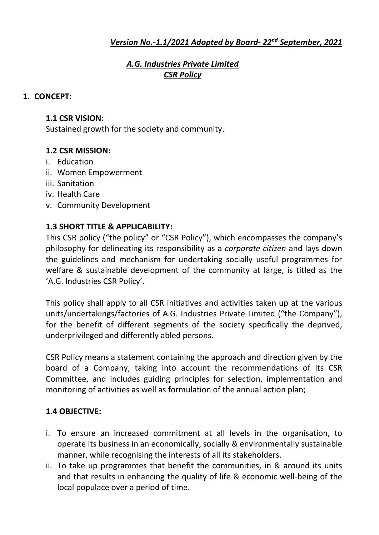## Version No.-1.1/2021 Adopted by Board- 22nd September, 2021

## A.G. Industries Private Limited CSR Policy

#### 1. CONCEPT:

#### 1.1 CSR VISION:

Sustained growth for the society and community.

#### 1.2 CSR MISSION:

- i. Education
- ii. Women Empowerment
- iii. Sanitation
- iv. Health Care
- v. Community Development

#### 1.3 SHORT TITLE & APPLICABILITY:

This CSR policy ("the policy" or "CSR Policy"), which encompasses the company's philosophy for delineating its responsibility as a corporate citizen and lays down the guidelines and mechanism for undertaking socially useful programmes for welfare & sustainable development of the community at large, is titled as the 'A.G. Industries CSR Policy'.

This policy shall apply to all CSR initiatives and activities taken up at the various units/undertakings/factories of A.G. Industries Private Limited ("the Company"), for the benefit of different segments of the society specifically the deprived, underprivileged and differently abled persons.

CSR Policy means a statement containing the approach and direction given by the board of a Company, taking into account the recommendations of its CSR Committee, and includes guiding principles for selection, implementation and monitoring of activities as well as formulation of the annual action plan;

#### 1.4 OBJECTIVE:

- i. To ensure an increased commitment at all levels in the organisation, to operate its business in an economically, socially & environmentally sustainable manner, while recognising the interests of all its stakeholders.
- ii. To take up programmes that benefit the communities, in & around its units and that results in enhancing the quality of life & economic well-being of the local populace over a period of time.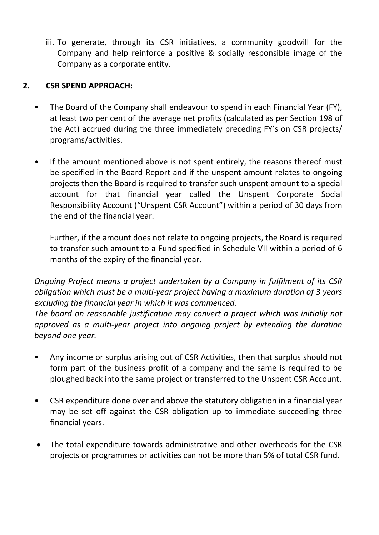iii. To generate, through its CSR initiatives, a community goodwill for the Company and help reinforce a positive & socially responsible image of the Company as a corporate entity.

# 2. CSR SPEND APPROACH:

- The Board of the Company shall endeavour to spend in each Financial Year (FY), at least two per cent of the average net profits (calculated as per Section 198 of the Act) accrued during the three immediately preceding FY's on CSR projects/ programs/activities.
- If the amount mentioned above is not spent entirely, the reasons thereof must be specified in the Board Report and if the unspent amount relates to ongoing projects then the Board is required to transfer such unspent amount to a special account for that financial year called the Unspent Corporate Social Responsibility Account ("Unspent CSR Account") within a period of 30 days from the end of the financial year.

 Further, if the amount does not relate to ongoing projects, the Board is required to transfer such amount to a Fund specified in Schedule VII within a period of 6 months of the expiry of the financial year.

Ongoing Project means a project undertaken by a Company in fulfilment of its CSR obligation which must be a multi-year project having a maximum duration of 3 years excluding the financial year in which it was commenced.

The board on reasonable justification may convert a project which was initially not approved as a multi-year project into ongoing project by extending the duration beyond one year.

- Any income or surplus arising out of CSR Activities, then that surplus should not form part of the business profit of a company and the same is required to be ploughed back into the same project or transferred to the Unspent CSR Account.
- CSR expenditure done over and above the statutory obligation in a financial year may be set off against the CSR obligation up to immediate succeeding three financial years.
- The total expenditure towards administrative and other overheads for the CSR projects or programmes or activities can not be more than 5% of total CSR fund.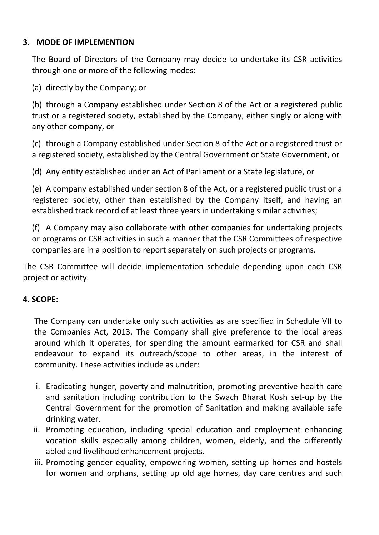## 3. MODE OF IMPLEMENTION

The Board of Directors of the Company may decide to undertake its CSR activities through one or more of the following modes:

(a) directly by the Company; or

(b) through a Company established under Section 8 of the Act or a registered public trust or a registered society, established by the Company, either singly or along with any other company, or

(c) through a Company established under Section 8 of the Act or a registered trust or a registered society, established by the Central Government or State Government, or

(d) Any entity established under an Act of Parliament or a State legislature, or

(e) A company established under section 8 of the Act, or a registered public trust or a registered society, other than established by the Company itself, and having an established track record of at least three years in undertaking similar activities;

(f) A Company may also collaborate with other companies for undertaking projects or programs or CSR activities in such a manner that the CSR Committees of respective companies are in a position to report separately on such projects or programs.

The CSR Committee will decide implementation schedule depending upon each CSR project or activity.

# 4. SCOPE:

The Company can undertake only such activities as are specified in Schedule VII to the Companies Act, 2013. The Company shall give preference to the local areas around which it operates, for spending the amount earmarked for CSR and shall endeavour to expand its outreach/scope to other areas, in the interest of community. These activities include as under:

- i. Eradicating hunger, poverty and malnutrition, promoting preventive health care and sanitation including contribution to the Swach Bharat Kosh set-up by the Central Government for the promotion of Sanitation and making available safe drinking water.
- ii. Promoting education, including special education and employment enhancing vocation skills especially among children, women, elderly, and the differently abled and livelihood enhancement projects.
- iii. Promoting gender equality, empowering women, setting up homes and hostels for women and orphans, setting up old age homes, day care centres and such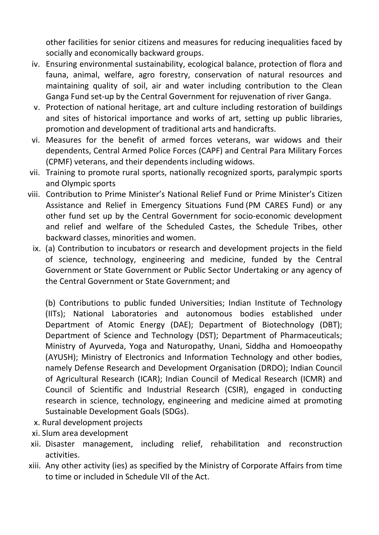other facilities for senior citizens and measures for reducing inequalities faced by socially and economically backward groups.

- iv. Ensuring environmental sustainability, ecological balance, protection of flora and fauna, animal, welfare, agro forestry, conservation of natural resources and maintaining quality of soil, air and water including contribution to the Clean Ganga Fund set-up by the Central Government for rejuvenation of river Ganga.
- v. Protection of national heritage, art and culture including restoration of buildings and sites of historical importance and works of art, setting up public libraries, promotion and development of traditional arts and handicrafts.
- vi. Measures for the benefit of armed forces veterans, war widows and their dependents, Central Armed Police Forces (CAPF) and Central Para Military Forces (CPMF) veterans, and their dependents including widows.
- vii. Training to promote rural sports, nationally recognized sports, paralympic sports and Olympic sports
- viii. Contribution to Prime Minister's National Relief Fund or Prime Minister's Citizen Assistance and Relief in Emergency Situations Fund (PM CARES Fund) or any other fund set up by the Central Government for socio-economic development and relief and welfare of the Scheduled Castes, the Schedule Tribes, other backward classes, minorities and women.
- ix. (a) Contribution to incubators or research and development projects in the field of science, technology, engineering and medicine, funded by the Central Government or State Government or Public Sector Undertaking or any agency of the Central Government or State Government; and

(b) Contributions to public funded Universities; Indian Institute of Technology (IITs); National Laboratories and autonomous bodies established under Department of Atomic Energy (DAE); Department of Biotechnology (DBT); Department of Science and Technology (DST); Department of Pharmaceuticals; Ministry of Ayurveda, Yoga and Naturopathy, Unani, Siddha and Homoeopathy (AYUSH); Ministry of Electronics and Information Technology and other bodies, namely Defense Research and Development Organisation (DRDO); Indian Council of Agricultural Research (ICAR); Indian Council of Medical Research (ICMR) and Council of Scientific and Industrial Research (CSIR), engaged in conducting research in science, technology, engineering and medicine aimed at promoting Sustainable Development Goals (SDGs).

- x. Rural development projects
- xi. Slum area development
- xii. Disaster management, including relief, rehabilitation and reconstruction activities.
- xiii. Any other activity (ies) as specified by the Ministry of Corporate Affairs from time to time or included in Schedule VII of the Act.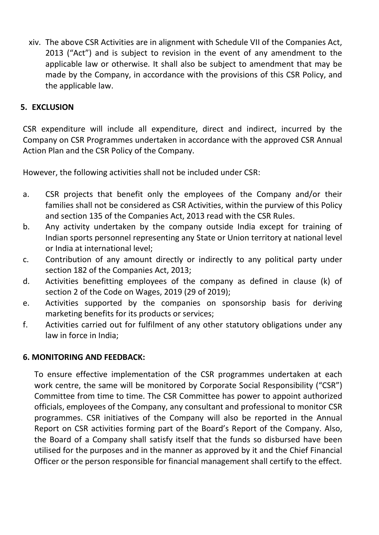xiv. The above CSR Activities are in alignment with Schedule VII of the Companies Act, 2013 ("Act") and is subject to revision in the event of any amendment to the applicable law or otherwise. It shall also be subject to amendment that may be made by the Company, in accordance with the provisions of this CSR Policy, and the applicable law.

## 5. EXCLUSION

CSR expenditure will include all expenditure, direct and indirect, incurred by the Company on CSR Programmes undertaken in accordance with the approved CSR Annual Action Plan and the CSR Policy of the Company.

However, the following activities shall not be included under CSR:

- a. CSR projects that benefit only the employees of the Company and/or their families shall not be considered as CSR Activities, within the purview of this Policy and section 135 of the Companies Act, 2013 read with the CSR Rules.
- b. Any activity undertaken by the company outside India except for training of Indian sports personnel representing any State or Union territory at national level or India at international level;
- c. Contribution of any amount directly or indirectly to any political party under section 182 of the Companies Act, 2013;
- d. Activities benefitting employees of the company as defined in clause (k) of section 2 of the Code on Wages, 2019 (29 of 2019);
- e. Activities supported by the companies on sponsorship basis for deriving marketing benefits for its products or services;
- f. Activities carried out for fulfilment of any other statutory obligations under any law in force in India;

#### 6. MONITORING AND FEEDBACK:

To ensure effective implementation of the CSR programmes undertaken at each work centre, the same will be monitored by Corporate Social Responsibility ("CSR") Committee from time to time. The CSR Committee has power to appoint authorized officials, employees of the Company, any consultant and professional to monitor CSR programmes. CSR initiatives of the Company will also be reported in the Annual Report on CSR activities forming part of the Board's Report of the Company. Also, the Board of a Company shall satisfy itself that the funds so disbursed have been utilised for the purposes and in the manner as approved by it and the Chief Financial Officer or the person responsible for financial management shall certify to the effect.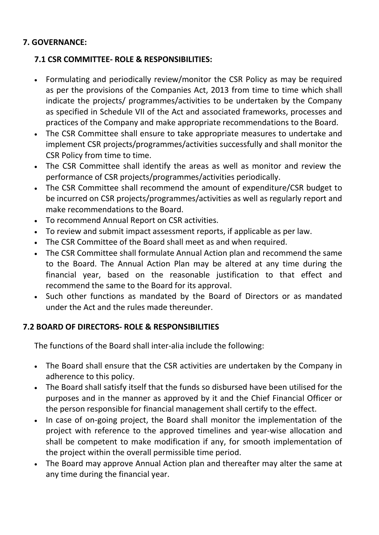## 7. GOVERNANCE:

# 7.1 CSR COMMITTEE- ROLE & RESPONSIBILITIES:

- Formulating and periodically review/monitor the CSR Policy as may be required as per the provisions of the Companies Act, 2013 from time to time which shall indicate the projects/ programmes/activities to be undertaken by the Company as specified in Schedule VII of the Act and associated frameworks, processes and practices of the Company and make appropriate recommendations to the Board.
- The CSR Committee shall ensure to take appropriate measures to undertake and implement CSR projects/programmes/activities successfully and shall monitor the CSR Policy from time to time.
- The CSR Committee shall identify the areas as well as monitor and review the performance of CSR projects/programmes/activities periodically.
- The CSR Committee shall recommend the amount of expenditure/CSR budget to be incurred on CSR projects/programmes/activities as well as regularly report and make recommendations to the Board.
- To recommend Annual Report on CSR activities.
- To review and submit impact assessment reports, if applicable as per law.
- The CSR Committee of the Board shall meet as and when required.
- The CSR Committee shall formulate Annual Action plan and recommend the same to the Board. The Annual Action Plan may be altered at any time during the financial year, based on the reasonable justification to that effect and recommend the same to the Board for its approval.
- Such other functions as mandated by the Board of Directors or as mandated under the Act and the rules made thereunder.

# 7.2 BOARD OF DIRECTORS- ROLE & RESPONSIBILITIES

The functions of the Board shall inter-alia include the following:

- The Board shall ensure that the CSR activities are undertaken by the Company in adherence to this policy.
- The Board shall satisfy itself that the funds so disbursed have been utilised for the purposes and in the manner as approved by it and the Chief Financial Officer or the person responsible for financial management shall certify to the effect.
- In case of on-going project, the Board shall monitor the implementation of the project with reference to the approved timelines and year-wise allocation and shall be competent to make modification if any, for smooth implementation of the project within the overall permissible time period.
- The Board may approve Annual Action plan and thereafter may alter the same at any time during the financial year.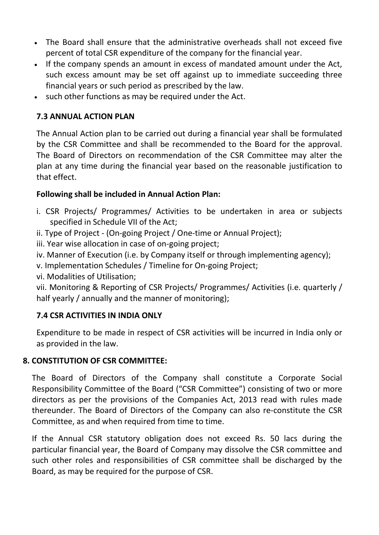- The Board shall ensure that the administrative overheads shall not exceed five percent of total CSR expenditure of the company for the financial year.
- If the company spends an amount in excess of mandated amount under the Act, such excess amount may be set off against up to immediate succeeding three financial years or such period as prescribed by the law.
- such other functions as may be required under the Act.

## 7.3 ANNUAL ACTION PLAN

The Annual Action plan to be carried out during a financial year shall be formulated by the CSR Committee and shall be recommended to the Board for the approval. The Board of Directors on recommendation of the CSR Committee may alter the plan at any time during the financial year based on the reasonable justification to that effect.

## Following shall be included in Annual Action Plan:

- i. CSR Projects/ Programmes/ Activities to be undertaken in area or subjects specified in Schedule VII of the Act;
- ii. Type of Project (On-going Project / One-time or Annual Project);
- iii. Year wise allocation in case of on-going project;
- iv. Manner of Execution (i.e. by Company itself or through implementing agency);
- v. Implementation Schedules / Timeline for On-going Project;
- vi. Modalities of Utilisation;

vii. Monitoring & Reporting of CSR Projects/ Programmes/ Activities (i.e. quarterly / half yearly / annually and the manner of monitoring);

# 7.4 CSR ACTIVITIES IN INDIA ONLY

Expenditure to be made in respect of CSR activities will be incurred in India only or as provided in the law.

# 8. CONSTITUTION OF CSR COMMITTEE:

The Board of Directors of the Company shall constitute a Corporate Social Responsibility Committee of the Board ("CSR Committee") consisting of two or more directors as per the provisions of the Companies Act, 2013 read with rules made thereunder. The Board of Directors of the Company can also re-constitute the CSR Committee, as and when required from time to time.

If the Annual CSR statutory obligation does not exceed Rs. 50 lacs during the particular financial year, the Board of Company may dissolve the CSR committee and such other roles and responsibilities of CSR committee shall be discharged by the Board, as may be required for the purpose of CSR.